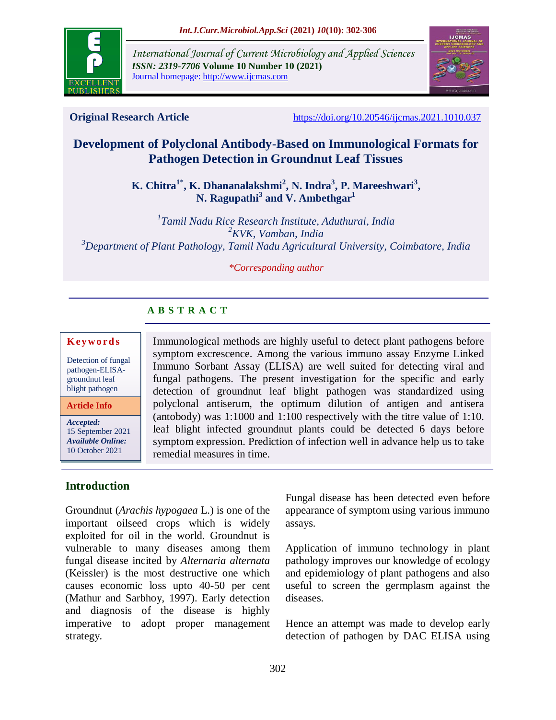

*International Journal of Current Microbiology and Applied Sciences ISSN: 2319-7706* **Volume 10 Number 10 (2021)**  Journal homepage: http://www.ijcmas.com



**Original Research Article** <https://doi.org/10.20546/ijcmas.2021.1010.037>

# **Development of Polyclonal Antibody-Based on Immunological Formats for Pathogen Detection in Groundnut Leaf Tissues**

**K. Chitra1\* , K. Dhananalakshmi<sup>2</sup> , N. Indra<sup>3</sup> , P. Mareeshwari<sup>3</sup> , N. Ragupathi<sup>3</sup> and V. Ambethgar<sup>1</sup>**

*1 Tamil Nadu Rice Research Institute, Aduthurai, India <sup>2</sup>KVK, Vamban, India <sup>3</sup>Department of Plant Pathology, Tamil Nadu Agricultural University, Coimbatore, India*

#### *\*Corresponding author*

# **A B S T R A C T**

#### **K ey w o rd s**

Detection of fungal pathogen-ELISAgroundnut leaf blight pathogen

**Article Info**

*Accepted:*  15 September 2021 *Available Online:* 10 October 2021

# **Introduction**

Groundnut (*Arachis hypogaea* L.) is one of the important oilseed crops which is widely exploited for oil in the world. Groundnut is vulnerable to many diseases among them fungal disease incited by *Alternaria alternata* (Keissler) is the most destructive one which causes economic loss upto 40-50 per cent (Mathur and Sarbhoy, 1997). Early detection and diagnosis of the disease is highly imperative to adopt proper management strategy.

Immunological methods are highly useful to detect plant pathogens before symptom excrescence. Among the various immuno assay Enzyme Linked Immuno Sorbant Assay (ELISA) are well suited for detecting viral and fungal pathogens. The present investigation for the specific and early detection of groundnut leaf blight pathogen was standardized using polyclonal antiserum, the optimum dilution of antigen and antisera (antobody) was 1:1000 and 1:100 respectively with the titre value of 1:10. leaf blight infected groundnut plants could be detected 6 days before symptom expression. Prediction of infection well in advance help us to take remedial measures in time.

> Fungal disease has been detected even before appearance of symptom using various immuno assays.

> Application of immuno technology in plant pathology improves our knowledge of ecology and epidemiology of plant pathogens and also useful to screen the germplasm against the diseases.

> Hence an attempt was made to develop early detection of pathogen by DAC ELISA using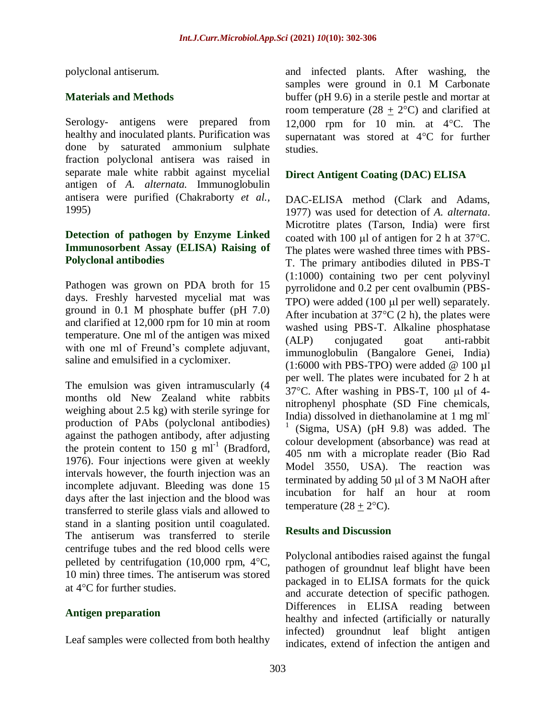polyclonal antiserum.

## **Materials and Methods**

Serology- antigens were prepared from healthy and inoculated plants. Purification was done by saturated ammonium sulphate fraction polyclonal antisera was raised in separate male white rabbit against mycelial antigen of *A. alternata.* Immunoglobulin antisera were purified (Chakraborty *et al.,* 1995)

## **Detection of pathogen by Enzyme Linked Immunosorbent Assay (ELISA) Raising of Polyclonal antibodies**

Pathogen was grown on PDA broth for 15 days. Freshly harvested mycelial mat was ground in 0.1 M phosphate buffer (pH 7.0) and clarified at 12,000 rpm for 10 min at room temperature. One ml of the antigen was mixed with one ml of Freund's complete adjuvant, saline and emulsified in a cyclomixer.

The emulsion was given intramuscularly (4 months old New Zealand white rabbits weighing about 2.5 kg) with sterile syringe for production of PAbs (polyclonal antibodies) against the pathogen antibody, after adjusting the protein content to  $150 \text{ g} \text{ ml}^{-1}$  (Bradford, 1976). Four injections were given at weekly intervals however, the fourth injection was an incomplete adjuvant. Bleeding was done 15 days after the last injection and the blood was transferred to sterile glass vials and allowed to stand in a slanting position until coagulated. The antiserum was transferred to sterile centrifuge tubes and the red blood cells were pelleted by centrifugation  $(10,000$  rpm,  $4^{\circ}$ C, 10 min) three times. The antiserum was stored at 4°C for further studies.

### **Antigen preparation**

Leaf samples were collected from both healthy

and infected plants. After washing, the samples were ground in 0.1 M Carbonate buffer (pH 9.6) in a sterile pestle and mortar at room temperature  $(28 + 2^{\circ}C)$  and clarified at 12,000 rpm for 10 min. at  $4^{\circ}$ C. The supernatant was stored at  $4^{\circ}$ C for further studies.

## **Direct Antigent Coating (DAC) ELISA**

DAC-ELISA method (Clark and Adams, 1977) was used for detection of *A. alternata*. Microtitre plates (Tarson, India) were first coated with 100  $\mu$ l of antigen for 2 h at 37 $\degree$ C. The plates were washed three times with PBS-T. The primary antibodies diluted in PBS-T (1:1000) containing two per cent polyvinyl pyrrolidone and 0.2 per cent ovalbumin (PBS-TPO) were added  $(100 \mu l$  per well) separately. After incubation at  $37^{\circ}$ C (2 h), the plates were washed using PBS-T. Alkaline phosphatase (ALP) conjugated goat anti-rabbit immunoglobulin (Bangalore Genei, India)  $(1:6000 \text{ with PBS-TPO})$  were added @ 100 µl per well. The plates were incubated for 2 h at 37 $^{\circ}$ C. After washing in PBS-T, 100 µl of 4nitrophenyl phosphate (SD Fine chemicals, India) dissolved in diethanolamine at 1 mg ml-<sup>1</sup> (Sigma, USA) (pH 9.8) was added. The colour development (absorbance) was read at 405 nm with a microplate reader (Bio Rad Model 3550, USA). The reaction was terminated by adding  $50 \mu l$  of 3 M NaOH after incubation for half an hour at room temperature  $(28 + 2^{\circ}C)$ .

### **Results and Discussion**

Polyclonal antibodies raised against the fungal pathogen of groundnut leaf blight have been packaged in to ELISA formats for the quick and accurate detection of specific pathogen. Differences in ELISA reading between healthy and infected (artificially or naturally infected) groundnut leaf blight antigen indicates, extend of infection the antigen and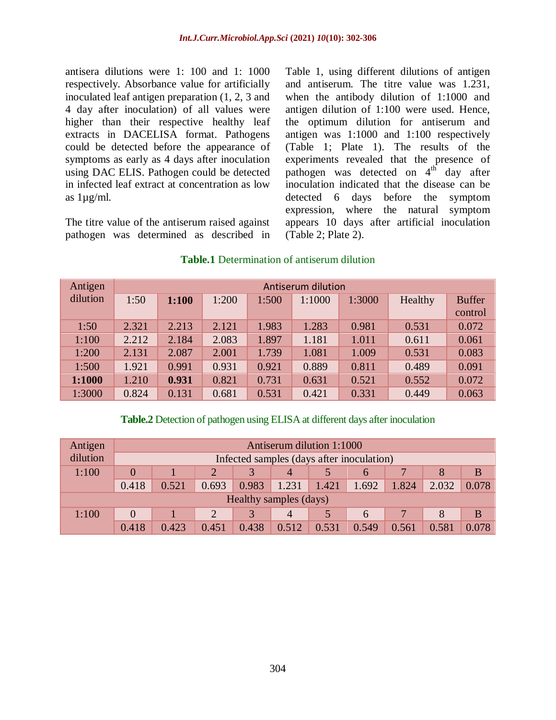antisera dilutions were 1: 100 and 1: 1000 respectively. Absorbance value for artificially inoculated leaf antigen preparation (1, 2, 3 and 4 day after inoculation) of all values were higher than their respective healthy leaf extracts in DACELISA format. Pathogens could be detected before the appearance of symptoms as early as 4 days after inoculation using DAC ELIS. Pathogen could be detected in infected leaf extract at concentration as low as 1µg/ml.

The titre value of the antiserum raised against pathogen was determined as described in

Table 1, using different dilutions of antigen and antiserum. The titre value was 1.231, when the antibody dilution of 1:1000 and antigen dilution of 1:100 were used. Hence, the optimum dilution for antiserum and antigen was 1:1000 and 1:100 respectively (Table 1; Plate 1). The results of the experiments revealed that the presence of pathogen was detected on  $4<sup>th</sup>$  day after inoculation indicated that the disease can be detected 6 days before the symptom expression, where the natural symptom appears 10 days after artificial inoculation (Table 2; Plate 2).

| Antigen  | Antiserum dilution |       |       |       |        |        |         |               |  |  |
|----------|--------------------|-------|-------|-------|--------|--------|---------|---------------|--|--|
| dilution | 1:50               | 1:100 | 1:200 | 1:500 | 1:1000 | 1:3000 | Healthy | <b>Buffer</b> |  |  |
|          |                    |       |       |       |        |        |         | control       |  |  |
| 1:50     | 2.321              | 2.213 | 2.121 | 1.983 | 1.283  | 0.981  | 0.531   | 0.072         |  |  |
| 1:100    | 2.212              | 2.184 | 2.083 | 1.897 | 1.181  | 1.011  | 0.611   | 0.061         |  |  |
| 1:200    | 2.131              | 2.087 | 2.001 | 1.739 | 1.081  | 1.009  | 0.531   | 0.083         |  |  |
| 1:500    | 1.921              | 0.991 | 0.931 | 0.921 | 0.889  | 0.811  | 0.489   | 0.091         |  |  |
| 1:1000   | 1.210              | 0.931 | 0.821 | 0.731 | 0.631  | 0.521  | 0.552   | 0.072         |  |  |
| 1:3000   | 0.824              | 0.131 | 0.681 | 0.531 | 0.421  | 0.331  | 0.449   | 0.063         |  |  |

# **Table.1** Determination of antiserum dilution

**Table.2** Detection of pathogen using ELISA at different days after inoculation

| Antigen                | Antiserum dilution 1:1000                 |       |                |               |       |       |               |       |       |       |  |
|------------------------|-------------------------------------------|-------|----------------|---------------|-------|-------|---------------|-------|-------|-------|--|
| dilution               | Infected samples (days after inoculation) |       |                |               |       |       |               |       |       |       |  |
| 1:100                  | $\theta$                                  |       | $\overline{2}$ |               | 4     |       | $\mathfrak b$ |       |       | В     |  |
|                        | 0.418                                     | 0.521 | 0.693          | 0.983         | 1.231 | 1.421 | 1.692         | 1.824 | 2.032 | 0.078 |  |
| Healthy samples (days) |                                           |       |                |               |       |       |               |       |       |       |  |
| 1:100                  | $\theta$                                  |       | 2              | $\mathcal{R}$ | 4     | 5     | 6             |       |       | B     |  |
|                        | 0.418                                     | 0.423 | 0.451          | 0.438         | 0.512 | 0.531 | 0.549         | 0.561 |       |       |  |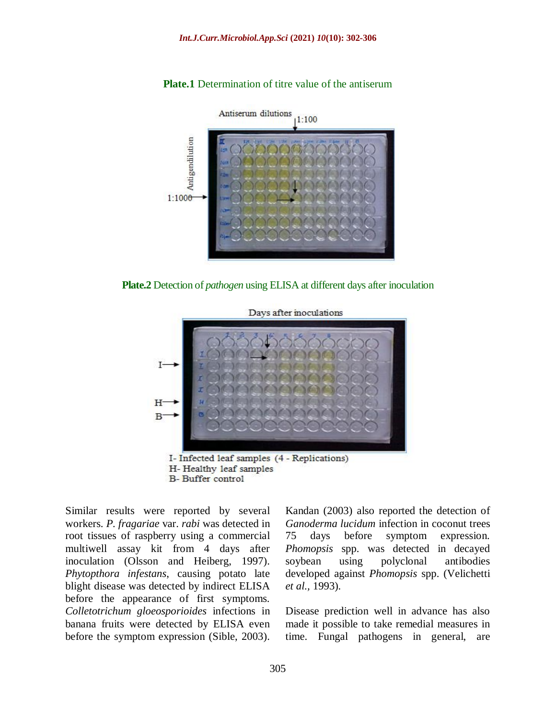

#### **Plate.1** Determination of titre value of the antiserum

**Plate.2** Detection of *pathogen* using ELISA at different days after inoculation



B-Buffer control

Similar results were reported by several workers. *P. fragariae* var. *rabi* was detected in root tissues of raspberry using a commercial multiwell assay kit from 4 days after inoculation (Olsson and Heiberg, 1997). *Phytopthora infestans*, causing potato late blight disease was detected by indirect ELISA before the appearance of first symptoms. *Colletotrichum gloeosporioides* infections in banana fruits were detected by ELISA even before the symptom expression (Sible, 2003).

Kandan (2003) also reported the detection of *Ganoderma lucidum* infection in coconut trees 75 days before symptom expression. *Phomopsis* spp. was detected in decayed soybean using polyclonal antibodies developed against *Phomopsis* spp. (Velichetti *et al.,* 1993).

Disease prediction well in advance has also made it possible to take remedial measures in time. Fungal pathogens in general, are